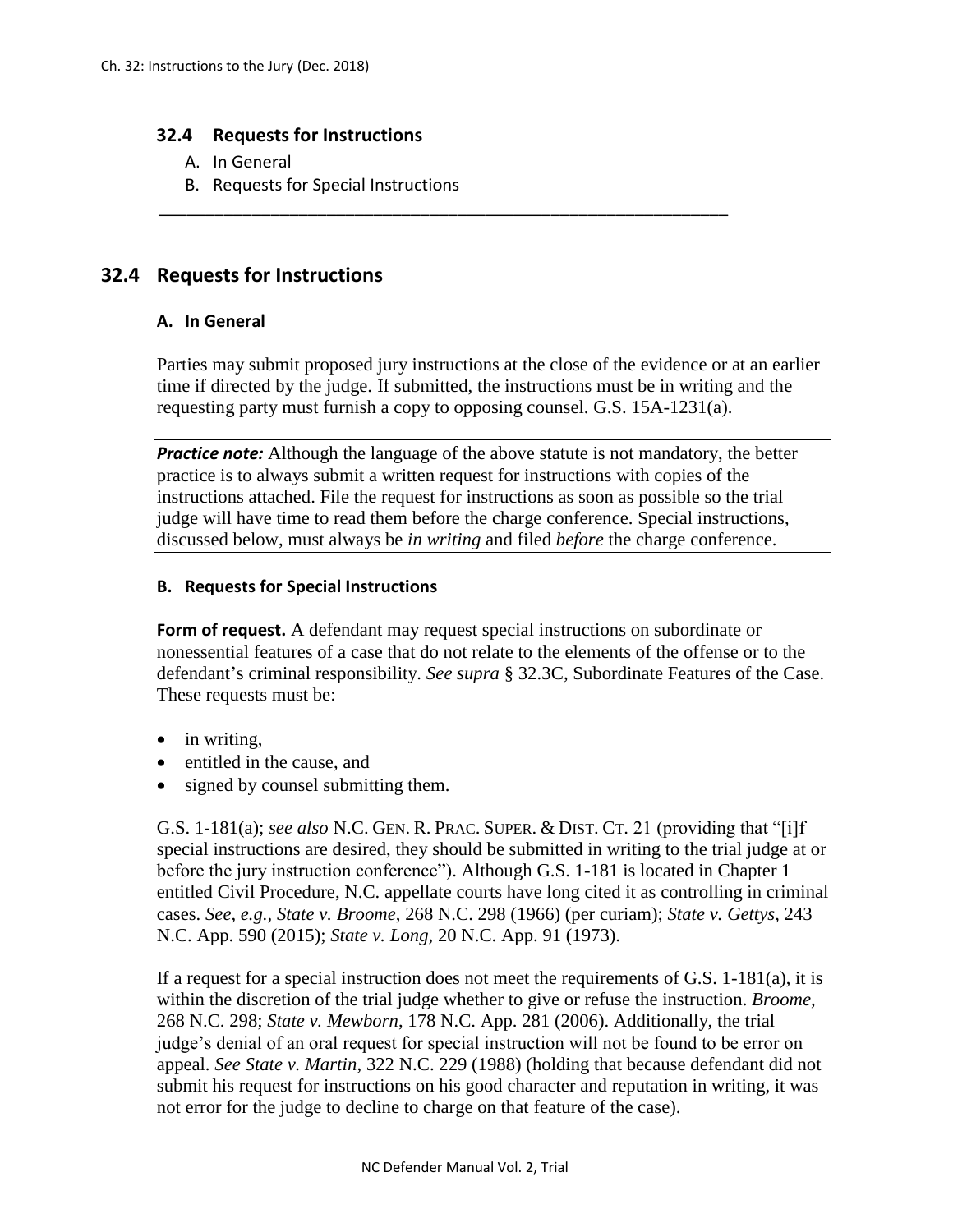## **32.4 Requests for Instructions**

- A. In General
- B. Requests for Special Instructions

## **32.4 Requests for Instructions**

## **A. In General**

Parties may submit proposed jury instructions at the close of the evidence or at an earlier time if directed by the judge. If submitted, the instructions must be in writing and the requesting party must furnish a copy to opposing counsel. G.S. 15A-1231(a).

\_\_\_\_\_\_\_\_\_\_\_\_\_\_\_\_\_\_\_\_\_\_\_\_\_\_\_\_\_\_\_\_\_\_\_\_\_\_\_\_\_\_\_\_\_\_\_\_\_\_\_\_\_\_\_\_\_\_\_\_\_

*Practice note:* Although the language of the above statute is not mandatory, the better practice is to always submit a written request for instructions with copies of the instructions attached. File the request for instructions as soon as possible so the trial judge will have time to read them before the charge conference. Special instructions, discussed below, must always be *in writing* and filed *before* the charge conference.

## **B. Requests for Special Instructions**

**Form of request.** A defendant may request special instructions on subordinate or nonessential features of a case that do not relate to the elements of the offense or to the defendant's criminal responsibility. *See supra* § 32.3C, Subordinate Features of the Case. These requests must be:

- in writing.
- entitled in the cause, and
- signed by counsel submitting them.

G.S. 1-181(a); *see also* N.C. GEN. R. PRAC. SUPER. & DIST. CT. 21 (providing that "[i]f special instructions are desired, they should be submitted in writing to the trial judge at or before the jury instruction conference"). Although G.S. 1-181 is located in Chapter 1 entitled Civil Procedure, N.C. appellate courts have long cited it as controlling in criminal cases. *See, e.g., State v. Broome*, 268 N.C. 298 (1966) (per curiam); *State v. Gettys*, 243 N.C. App. 590 (2015); *State v. Long,* 20 N.C. App. 91 (1973).

If a request for a special instruction does not meet the requirements of G.S.  $1-181(a)$ , it is within the discretion of the trial judge whether to give or refuse the instruction. *Broome*, 268 N.C. 298; *State v. Mewborn*, 178 N.C. App. 281 (2006). Additionally, the trial judge's denial of an oral request for special instruction will not be found to be error on appeal. *See State v. Martin*, 322 N.C. 229 (1988) (holding that because defendant did not submit his request for instructions on his good character and reputation in writing, it was not error for the judge to decline to charge on that feature of the case).